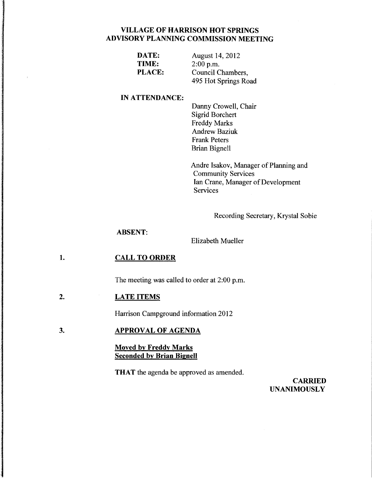# **VILLAGE OF HARRISON HOT SPRINGS ADVISORY PLANNING COMMISSION MEETING**

| DATE:  | August 14, 2012      |
|--------|----------------------|
| TIME:  | $2:00$ p.m.          |
| PLACE: | Council Chambers.    |
|        | 495 Hot Springs Road |

# **IN ATTENDANCE:**

Danny Crowell, Chair Sigrid Borchert Freddy Marks Andrew Baziuk Frank Peters Brian Bignell

Andre Isakov, Manager of Planning and Community Services Ian Crane, Manager of Development **Services** 

Recording Secretary, Krystal Sobie

### **ABSENT:**

Elizabeth Mueller

#### **1. CALL TO ORDER**

The meeting was called to order at 2:00 p.m.

#### **2. LATE ITEMS**

Harrison Campground information 2012

#### 3. **APPROVAL OF AGENDA**

# **Moved by Freddy Marks Seconded by Brian Bignell**

**THAT** the agenda be approved as amended.

**CARRIED UNANIMOUSLY**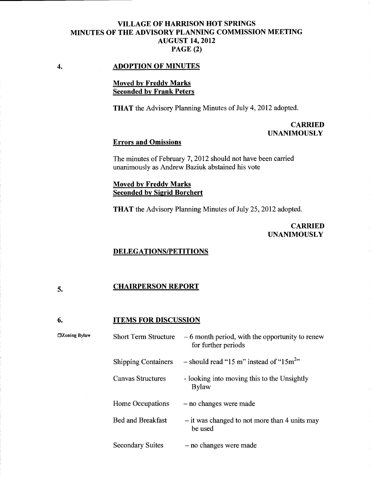# **VILLAGE OF HARRISON HOT SPRINGS MINUTES OF THE ADVISORY PLANNING COMMISSION MEETING AUGUST 14, 2012 PAGE (2)**

#### **4. ADOPTION OF MINUTES**

# **Moved by Freddy Marks Seconded by Frank Peters**

**THAT** the Advisory Planning Minutes of July 4, 2012 adopted.

**CARRIED UNANIMOUSLY** 

# **Errors and Omissions**

The minutes of February 7, 2012 should not have been carried unanimously as Andrew Baziuk abstained his vote

# **Moved by Freddy Marks Seconded by Sigrid Borchert**

**THAT** the Advisory Planning Minutes of July 25, 2012 adopted.

**CARRIED UNANIMOUSLY** 

### **DELEGATIONS/PETITIONS**

### **CHAIRPERSON REPORT**

**5.** 

**6.** 

**ITEMS FOR DISCUSSION** 

| □Zoning Bylaw | <b>Short Term Structure</b> | $-6$ month period, with the opportunity to renew<br>for further periods |
|---------------|-----------------------------|-------------------------------------------------------------------------|
|               | <b>Shipping Containers</b>  | - should read "15 m" instead of "15m <sup>2</sup> "                     |
|               | Canvas Structures           | - looking into moving this to the Unsightly<br><b>Bylaw</b>             |
|               | Home Occupations            | - no changes were made                                                  |
|               | <b>Bed and Breakfast</b>    | $-$ it was changed to not more than 4 units may<br>be used              |
|               | <b>Secondary Suites</b>     | - no changes were made                                                  |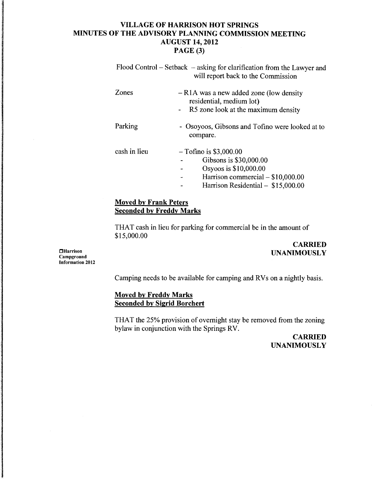# **VILLAGE OF HARRISON HOT SPRINGS MINUTES OF THE ADVISORY PLANNING COMMISSION MEETING AUGUST 14, 2012 PAGE (3)**

Flood Control - Setback - asking for clarification from the Lawyer and will report back to the Commission

| Zones        | $- R1A$ was a new added zone (low density<br>residential, medium lot)<br>R5 zone look at the maximum density                                           |
|--------------|--------------------------------------------------------------------------------------------------------------------------------------------------------|
| Parking      | - Osoyoos, Gibsons and Tofino were looked at to<br>compare.                                                                                            |
| cash in lieu | $-$ Tofino is \$3,000.00<br>Gibsons is \$30,000.00<br>Osyoos is \$10,000.00<br>Harrison commercial - \$10,000.00<br>Harrison Residential - \$15,000.00 |

# **Moved by Frank Peters Seconded by Freddy Marks**

THAT cash in lieu for parking for commercial be in the amount of \$15,000.00

# **CARRIED UNANIMOUSLY**

**OHarrison** Campground Information 2012

Camping needs to be available for camping and RVs on a nightly basis.

### **Moved by Freddy Marks Seconded by Sigrid Borchert**

THAT the 25% provision of overnight stay be removed from the zoning bylaw in conjunction with the Springs RV.

> **CARRIED UNANIMOUSLY**